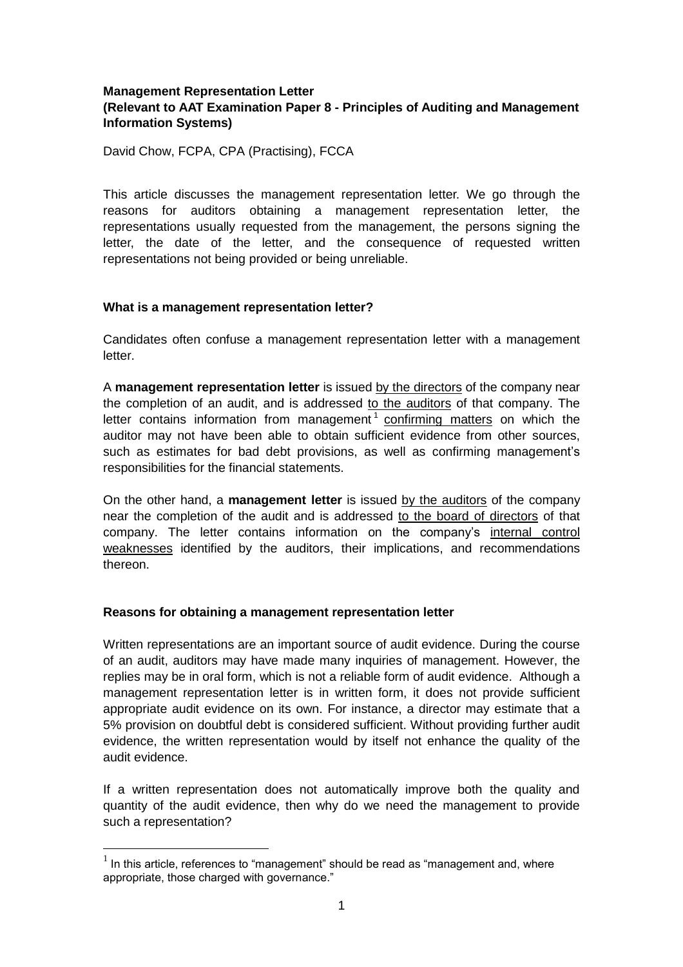# **Management Representation Letter (Relevant to AAT Examination Paper 8 - Principles of Auditing and Management Information Systems)**

David Chow, FCPA, CPA (Practising), FCCA

This article discusses the management representation letter. We go through the reasons for auditors obtaining a management representation letter, the representations usually requested from the management, the persons signing the letter, the date of the letter, and the consequence of requested written representations not being provided or being unreliable.

#### **What is a management representation letter?**

Candidates often confuse a management representation letter with a management letter.

A **management representation letter** is issued by the directors of the company near the completion of an audit, and is addressed to the auditors of that company. The letter contains information from management<sup>1</sup> confirming matters on which the auditor may not have been able to obtain sufficient evidence from other sources, such as estimates for bad debt provisions, as well as confirming management's responsibilities for the financial statements.

On the other hand, a **management letter** is issued by the auditors of the company near the completion of the audit and is addressed to the board of directors of that company. The letter contains information on the company's internal control weaknesses identified by the auditors, their implications, and recommendations thereon.

# **Reasons for obtaining a management representation letter**

 $\overline{a}$ 

Written representations are an important source of audit evidence. During the course of an audit, auditors may have made many inquiries of management. However, the replies may be in oral form, which is not a reliable form of audit evidence. Although a management representation letter is in written form, it does not provide sufficient appropriate audit evidence on its own. For instance, a director may estimate that a 5% provision on doubtful debt is considered sufficient. Without providing further audit evidence, the written representation would by itself not enhance the quality of the audit evidence.

If a written representation does not automatically improve both the quality and quantity of the audit evidence, then why do we need the management to provide such a representation?

 $<sup>1</sup>$  In this article, references to "management" should be read as "management and, where</sup> appropriate, those charged with governance."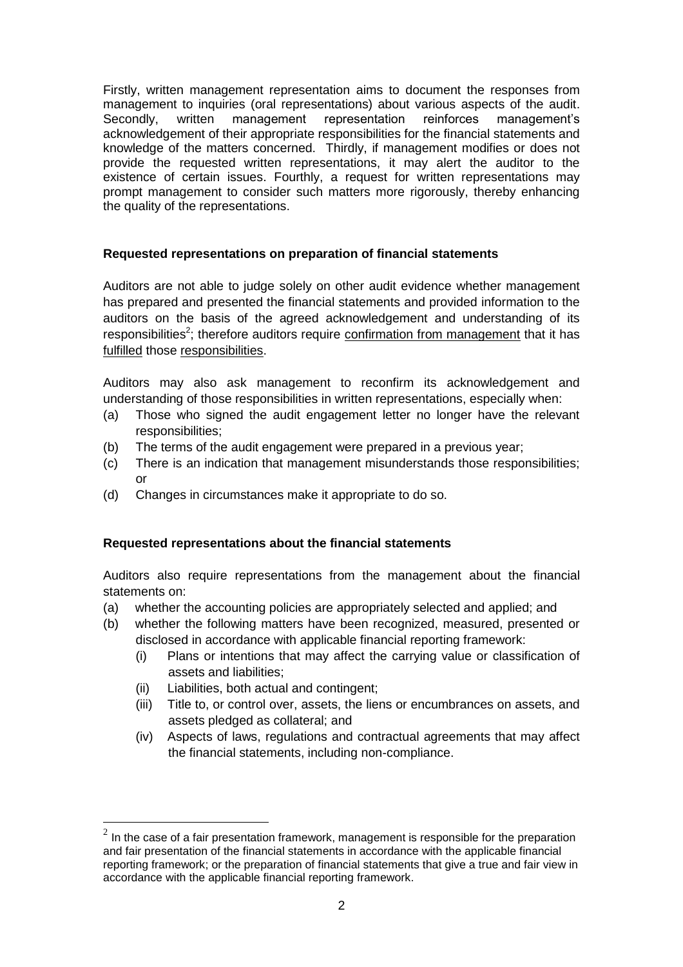Firstly, written management representation aims to document the responses from management to inquiries (oral representations) about various aspects of the audit.<br>Secondly, written management representation reinforces management's Secondly, written management representation reinforces management's acknowledgement of their appropriate responsibilities for the financial statements and knowledge of the matters concerned. Thirdly, if management modifies or does not provide the requested written representations, it may alert the auditor to the existence of certain issues. Fourthly, a request for written representations may prompt management to consider such matters more rigorously, thereby enhancing the quality of the representations.

# **Requested representations on preparation of financial statements**

Auditors are not able to judge solely on other audit evidence whether management has prepared and presented the financial statements and provided information to the auditors on the basis of the agreed acknowledgement and understanding of its responsibilities<sup>2</sup>; therefore auditors require confirmation from management that it has fulfilled those responsibilities.

Auditors may also ask management to reconfirm its acknowledgement and understanding of those responsibilities in written representations, especially when:

- (a) Those who signed the audit engagement letter no longer have the relevant responsibilities;
- (b) The terms of the audit engagement were prepared in a previous year;
- (c) There is an indication that management misunderstands those responsibilities; or
- (d) Changes in circumstances make it appropriate to do so.

# **Requested representations about the financial statements**

Auditors also require representations from the management about the financial statements on:

- (a) whether the accounting policies are appropriately selected and applied; and
- (b) whether the following matters have been recognized, measured, presented or disclosed in accordance with applicable financial reporting framework:
	- (i) Plans or intentions that may affect the carrying value or classification of assets and liabilities;
	- (ii) Liabilities, both actual and contingent;

 $\overline{a}$ 

- (iii) Title to, or control over, assets, the liens or encumbrances on assets, and assets pledged as collateral; and
- (iv) Aspects of laws, regulations and contractual agreements that may affect the financial statements, including non-compliance.

 $^{2}$  In the case of a fair presentation framework, management is responsible for the preparation and fair presentation of the financial statements in accordance with the applicable financial reporting framework; or the preparation of financial statements that give a true and fair view in accordance with the applicable financial reporting framework.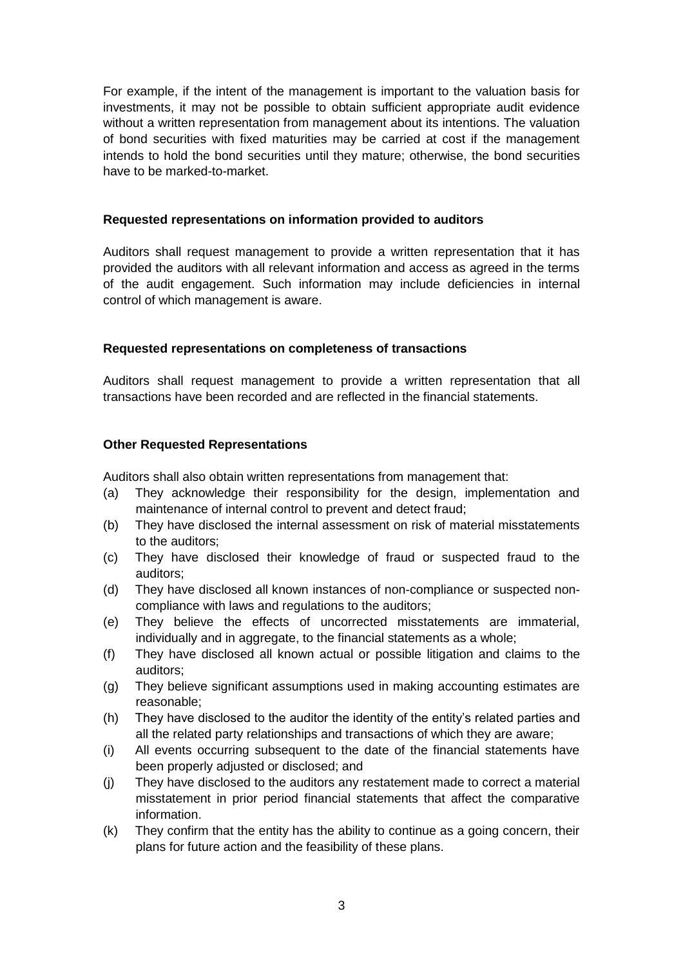For example, if the intent of the management is important to the valuation basis for investments, it may not be possible to obtain sufficient appropriate audit evidence without a written representation from management about its intentions. The valuation of bond securities with fixed maturities may be carried at cost if the management intends to hold the bond securities until they mature; otherwise, the bond securities have to be marked-to-market.

#### **Requested representations on information provided to auditors**

Auditors shall request management to provide a written representation that it has provided the auditors with all relevant information and access as agreed in the terms of the audit engagement. Such information may include deficiencies in internal control of which management is aware.

# **Requested representations on completeness of transactions**

Auditors shall request management to provide a written representation that all transactions have been recorded and are reflected in the financial statements.

# **Other Requested Representations**

Auditors shall also obtain written representations from management that:

- (a) They acknowledge their responsibility for the design, implementation and maintenance of internal control to prevent and detect fraud;
- (b) They have disclosed the internal assessment on risk of material misstatements to the auditors;
- (c) They have disclosed their knowledge of fraud or suspected fraud to the auditors;
- (d) They have disclosed all known instances of non-compliance or suspected noncompliance with laws and regulations to the auditors;
- (e) They believe the effects of uncorrected misstatements are immaterial, individually and in aggregate, to the financial statements as a whole:
- (f) They have disclosed all known actual or possible litigation and claims to the auditors;
- (g) They believe significant assumptions used in making accounting estimates are reasonable;
- (h) They have disclosed to the auditor the identity of the entity's related parties and all the related party relationships and transactions of which they are aware;
- (i) All events occurring subsequent to the date of the financial statements have been properly adjusted or disclosed; and
- (j) They have disclosed to the auditors any restatement made to correct a material misstatement in prior period financial statements that affect the comparative information.
- (k) They confirm that the entity has the ability to continue as a going concern, their plans for future action and the feasibility of these plans.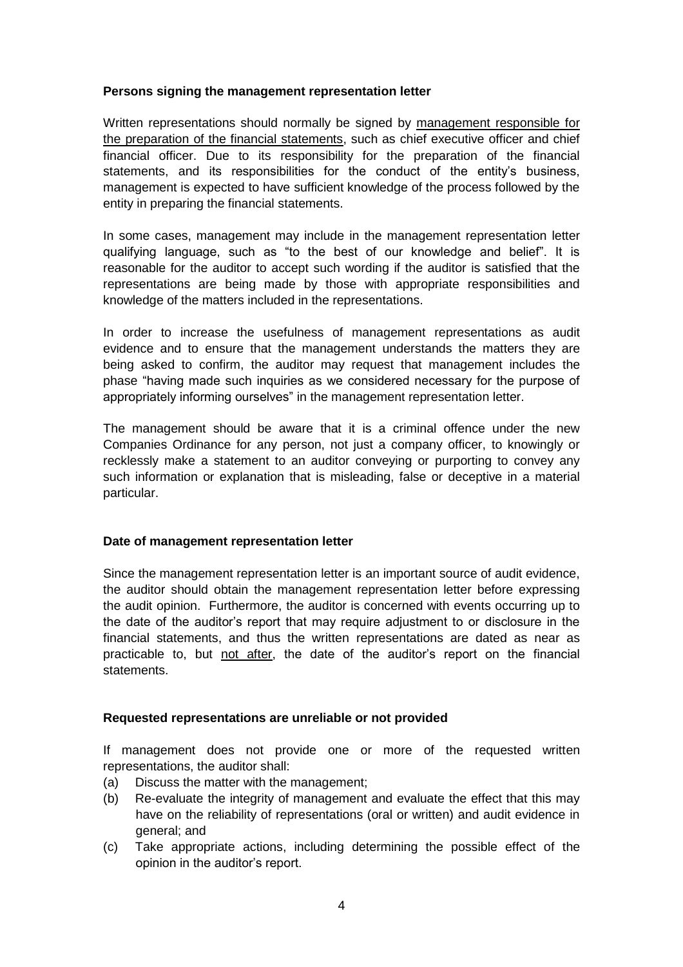# **Persons signing the management representation letter**

Written representations should normally be signed by management responsible for the preparation of the financial statements, such as chief executive officer and chief financial officer. Due to its responsibility for the preparation of the financial statements, and its responsibilities for the conduct of the entity's business, management is expected to have sufficient knowledge of the process followed by the entity in preparing the financial statements.

In some cases, management may include in the management representation letter qualifying language, such as "to the best of our knowledge and belief". It is reasonable for the auditor to accept such wording if the auditor is satisfied that the representations are being made by those with appropriate responsibilities and knowledge of the matters included in the representations.

In order to increase the usefulness of management representations as audit evidence and to ensure that the management understands the matters they are being asked to confirm, the auditor may request that management includes the phase "having made such inquiries as we considered necessary for the purpose of appropriately informing ourselves" in the management representation letter.

The management should be aware that it is a criminal offence under the new Companies Ordinance for any person, not just a company officer, to knowingly or recklessly make a statement to an auditor conveying or purporting to convey any such information or explanation that is misleading, false or deceptive in a material particular.

# **Date of management representation letter**

Since the management representation letter is an important source of audit evidence, the auditor should obtain the management representation letter before expressing the audit opinion. Furthermore, the auditor is concerned with events occurring up to the date of the auditor's report that may require adjustment to or disclosure in the financial statements, and thus the written representations are dated as near as practicable to, but not after, the date of the auditor's report on the financial statements.

# **Requested representations are unreliable or not provided**

If management does not provide one or more of the requested written representations, the auditor shall:

- (a) Discuss the matter with the management;
- (b) Re-evaluate the integrity of management and evaluate the effect that this may have on the reliability of representations (oral or written) and audit evidence in general; and
- (c) Take appropriate actions, including determining the possible effect of the opinion in the auditor's report.